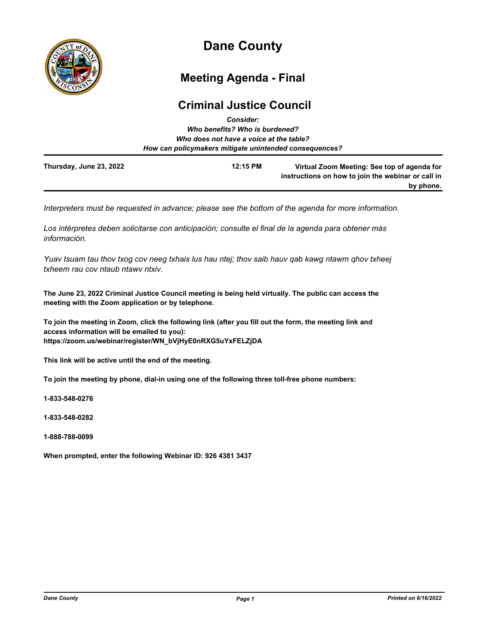

# **Dane County**

## **Meeting Agenda - Final**

## **Criminal Justice Council**

|                         | <b>Consider:</b>                                       |                                                                                                                |
|-------------------------|--------------------------------------------------------|----------------------------------------------------------------------------------------------------------------|
|                         | Who benefits? Who is burdened?                         |                                                                                                                |
|                         | Who does not have a voice at the table?                |                                                                                                                |
|                         | How can policymakers mitigate unintended consequences? |                                                                                                                |
| Thursday, June 23, 2022 | 12:15 PM                                               | Virtual Zoom Meeting: See top of agenda for<br>instructions on how to join the webinar or call in<br>by phone. |

*Interpreters must be requested in advance; please see the bottom of the agenda for more information.*

*Los intérpretes deben solicitarse con anticipación; consulte el final de la agenda para obtener más información.*

*Yuav tsuam tau thov txog cov neeg txhais lus hau ntej; thov saib hauv qab kawg ntawm qhov txheej txheem rau cov ntaub ntawv ntxiv.*

**The June 23, 2022 Criminal Justice Council meeting is being held virtually. The public can access the meeting with the Zoom application or by telephone.**

**To join the meeting in Zoom, click the following link (after you fill out the form, the meeting link and access information will be emailed to you): https://zoom.us/webinar/register/WN\_bVjHyE0nRXG5uYxFELZjDA**

**This link will be active until the end of the meeting.**

**To join the meeting by phone, dial-in using one of the following three toll-free phone numbers:**

**1-833-548-0276**

**1-833-548-0282**

**1-888-788-0099**

**When prompted, enter the following Webinar ID: 926 4381 3437**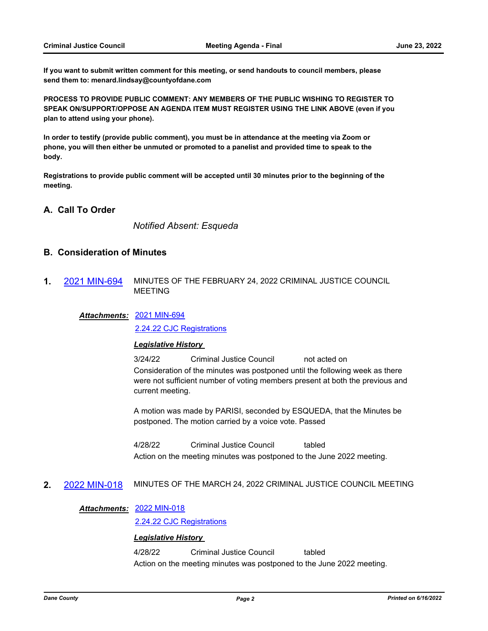**If you want to submit written comment for this meeting, or send handouts to council members, please send them to: menard.lindsay@countyofdane.com**

**PROCESS TO PROVIDE PUBLIC COMMENT: ANY MEMBERS OF THE PUBLIC WISHING TO REGISTER TO SPEAK ON/SUPPORT/OPPOSE AN AGENDA ITEM MUST REGISTER USING THE LINK ABOVE (even if you plan to attend using your phone).**

**In order to testify (provide public comment), you must be in attendance at the meeting via Zoom or phone, you will then either be unmuted or promoted to a panelist and provided time to speak to the body.**

**Registrations to provide public comment will be accepted until 30 minutes prior to the beginning of the meeting.**

## **A. Call To Order**

*Notified Absent: Esqueda*

## **B. Consideration of Minutes**

**1.** [2021 MIN-694](http://dane.legistar.com/gateway.aspx?m=l&id=/matter.aspx?key=22514) MINUTES OF THE FEBRUARY 24, 2022 CRIMINAL JUSTICE COUNCIL MEETING

#### [2021 MIN-694](http://dane.legistar.com/gateway.aspx?M=F&ID=824042ca-3fba-4516-abbd-4ec587b46e36.pdf) *Attachments:*

[2.24.22 CJC Registrations](http://dane.legistar.com/gateway.aspx?M=F&ID=b464387a-c95f-467e-862b-b78c33361043.pdf)

#### *Legislative History*

3/24/22 Criminal Justice Council not acted on Consideration of the minutes was postponed until the following week as there were not sufficient number of voting members present at both the previous and current meeting.

A motion was made by PARISI, seconded by ESQUEDA, that the Minutes be postponed. The motion carried by a voice vote. Passed

4/28/22 Criminal Justice Council tabled Action on the meeting minutes was postponed to the June 2022 meeting.

#### **2.** [2022 MIN-018](http://dane.legistar.com/gateway.aspx?m=l&id=/matter.aspx?key=22731) MINUTES OF THE MARCH 24, 2022 CRIMINAL JUSTICE COUNCIL MEETING

#### [2022 MIN-018](http://dane.legistar.com/gateway.aspx?M=F&ID=171cee8d-4b91-41f2-bb3e-60277d7e81c5.pdf) *Attachments:*

[2.24.22 CJC Registrations](http://dane.legistar.com/gateway.aspx?M=F&ID=e73de33b-1798-4747-a278-d3e712bc000b.pdf)

#### *Legislative History*

4/28/22 Criminal Justice Council tabled Action on the meeting minutes was postponed to the June 2022 meeting.